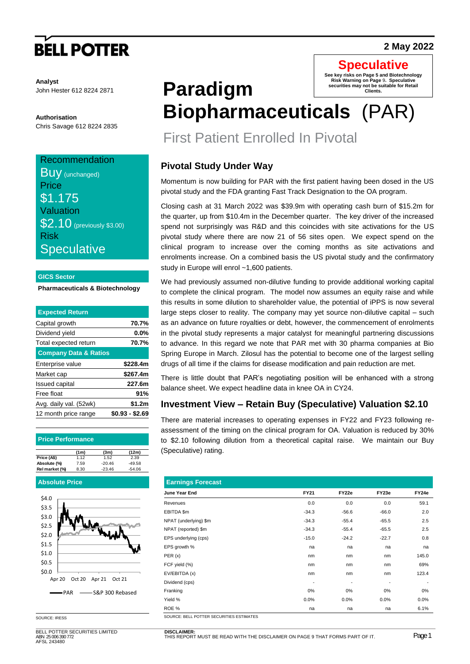# **BELL POTTER**

#### **Analyst** John Hester 612 8224 2871

**Authorisation** Chris Savage 612 8224 2835

### **Recommendation**

**Buy** (unchanged) **Price** \$1.175 Valuation **\$2.10** (previously \$3.00) Risk **Speculative** 

#### **GICS Sector**

#### **Pharmaceuticals & Biotechnology**

| <b>Expected Return</b>           |                 |
|----------------------------------|-----------------|
| Capital growth                   | 70.7%           |
| Dividend yield                   | $0.0\%$         |
| Total expected return            | 70.7%           |
| <b>Company Data &amp; Ratios</b> |                 |
| Enterprise value                 | \$228.4m        |
| Market cap                       | \$267.4m        |
| <b>Issued capital</b>            | 227.6m          |
| Free float                       | 91%             |
| Avg. daily val. (52wk)           | \$1.2m          |
| 12 month price range             | \$0.93 - \$2.69 |
|                                  |                 |

#### **Price Performance**

|                | (1m) | (3m)     | (12m)    |
|----------------|------|----------|----------|
| Price (A\$)    | 1.12 | 1.52     | 2.39     |
| Absolute (%)   | 7.59 | $-20.46$ | $-49.58$ |
| Rel market (%) | 8.30 | $-23.46$ | $-54.06$ |

#### **Absolute Price**



SOURCE: IRESS

BELL POTTER SECURITIES LIMITED ABN 25 006 390 772 AFSL 243480

#### **Paradigm Biopharmaceuticals** (PAR) **See key risks on Page 5 and Biotechnology Risk Warning on Page** 9**. Speculative**  not be suitable for Retail **Clients.**

# First Patient Enrolled In Pivotal

## **Pivotal Study Under Way**

Momentum is now building for PAR with the first patient having been dosed in the US pivotal study and the FDA granting Fast Track Designation to the OA program.

Closing cash at 31 March 2022 was \$39.9m with operating cash burn of \$15.2m for the quarter, up from \$10.4m in the December quarter. The key driver of the increased spend not surprisingly was R&D and this coincides with site activations for the US pivotal study where there are now 21 of 56 sites open. We expect spend on the clinical program to increase over the coming months as site activations and enrolments increase. On a combined basis the US pivotal study and the confirmatory study in Europe will enrol ~1,600 patients.

We had previously assumed non-dilutive funding to provide additional working capital to complete the clinical program. The model now assumes an equity raise and while this results in some dilution to shareholder value, the potential of iPPS is now several large steps closer to reality. The company may yet source non-dilutive capital – such as an advance on future royalties or debt, however, the commencement of enrolments in the pivotal study represents a major catalyst for meaningful partnering discussions to advance. In this regard we note that PAR met with 30 pharma companies at Bio Spring Europe in March. Zilosul has the potential to become one of the largest selling drugs of all time if the claims for disease modification and pain reduction are met.

There is little doubt that PAR's negotiating position will be enhanced with a strong balance sheet. We expect headline data in knee OA in CY24.

## **Investment View – Retain Buy (Speculative) Valuation \$2.10**

There are material increases to operating expenses in FY22 and FY23 following reassessment of the timing on the clinical program for OA. Valuation is reduced by 30% to \$2.10 following dilution from a theoretical capital raise. We maintain our Buy (Speculative) rating.

| <b>Earnings Forecast</b>                 |                          |         |         |                          |
|------------------------------------------|--------------------------|---------|---------|--------------------------|
| June Year End                            | FY21                     | FY22e   | FY23e   | FY24e                    |
| Revenues                                 | 0.0                      | 0.0     | 0.0     | 59.1                     |
| EBITDA \$m                               | $-34.3$                  | $-56.6$ | $-66.0$ | 2.0                      |
| NPAT (underlying) \$m                    | $-34.3$                  | $-55.4$ | $-65.5$ | 2.5                      |
| NPAT (reported) \$m                      | $-34.3$                  | $-55.4$ | $-65.5$ | 2.5                      |
| EPS underlying (cps)                     | $-15.0$                  | $-24.2$ | $-22.7$ | 0.8                      |
| EPS growth %                             | na                       | na      | na      | na                       |
| PER(x)                                   | nm                       | nm      | nm      | 145.0                    |
| FCF yield (%)                            | nm                       | nm      | nm      | 69%                      |
| EV/EBITDA (x)                            | nm                       | nm      | nm      | 123.4                    |
| Dividend (cps)                           | $\overline{\phantom{a}}$ | -       | ٠       | $\overline{\phantom{a}}$ |
| Franking                                 | $0\%$                    | 0%      | $0\%$   | $0\%$                    |
| Yield %                                  | 0.0%                     | 0.0%    | 0.0%    | 0.0%                     |
| ROE %                                    | na                       | na      | na      | 6.1%                     |
| SOURCE: RELL POTTER SECURITIES ESTIMATES |                          |         |         |                          |

### **2 May 2022**

**Speculative**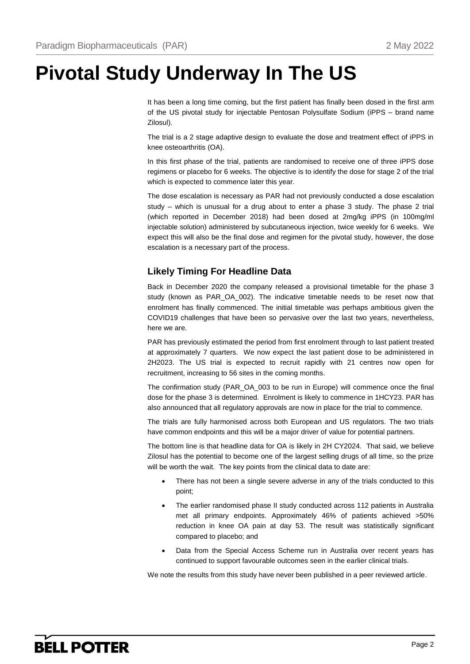# **Pivotal Study Underway In The US**

It has been a long time coming, but the first patient has finally been dosed in the first arm of the US pivotal study for injectable Pentosan Polysulfate Sodium (iPPS – brand name Zilosul).

The trial is a 2 stage adaptive design to evaluate the dose and treatment effect of iPPS in knee osteoarthritis (OA).

In this first phase of the trial, patients are randomised to receive one of three iPPS dose regimens or placebo for 6 weeks. The objective is to identify the dose for stage 2 of the trial which is expected to commence later this year.

The dose escalation is necessary as PAR had not previously conducted a dose escalation study – which is unusual for a drug about to enter a phase 3 study. The phase 2 trial (which reported in December 2018) had been dosed at 2mg/kg iPPS (in 100mg/ml injectable solution) administered by subcutaneous injection, twice weekly for 6 weeks. We expect this will also be the final dose and regimen for the pivotal study, however, the dose escalation is a necessary part of the process.

### **Likely Timing For Headline Data**

Back in December 2020 the company released a provisional timetable for the phase 3 study (known as PAR\_OA\_002). The indicative timetable needs to be reset now that enrolment has finally commenced. The initial timetable was perhaps ambitious given the COVID19 challenges that have been so pervasive over the last two years, nevertheless, here we are.

PAR has previously estimated the period from first enrolment through to last patient treated at approximately 7 quarters. We now expect the last patient dose to be administered in 2H2023. The US trial is expected to recruit rapidly with 21 centres now open for recruitment, increasing to 56 sites in the coming months.

The confirmation study (PAR\_OA\_003 to be run in Europe) will commence once the final dose for the phase 3 is determined. Enrolment is likely to commence in 1HCY23. PAR has also announced that all regulatory approvals are now in place for the trial to commence.

The trials are fully harmonised across both European and US regulators. The two trials have common endpoints and this will be a major driver of value for potential partners.

The bottom line is that headline data for OA is likely in 2H CY2024. That said, we believe Zilosul has the potential to become one of the largest selling drugs of all time, so the prize will be worth the wait. The key points from the clinical data to date are:

- There has not been a single severe adverse in any of the trials conducted to this point;
- The earlier randomised phase II study conducted across 112 patients in Australia met all primary endpoints. Approximately 46% of patients achieved >50% reduction in knee OA pain at day 53. The result was statistically significant compared to placebo; and
- Data from the Special Access Scheme run in Australia over recent years has continued to support favourable outcomes seen in the earlier clinical trials.

We note the results from this study have never been published in a peer reviewed article.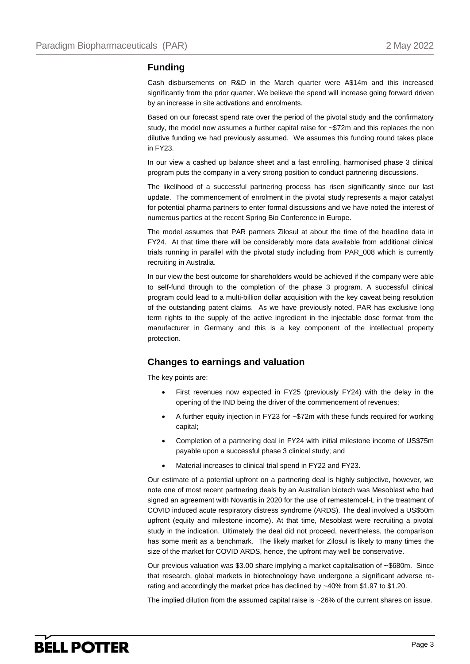### **Funding**

Cash disbursements on R&D in the March quarter were A\$14m and this increased significantly from the prior quarter. We believe the spend will increase going forward driven by an increase in site activations and enrolments.

Based on our forecast spend rate over the period of the pivotal study and the confirmatory study, the model now assumes a further capital raise for ~\$72m and this replaces the non dilutive funding we had previously assumed. We assumes this funding round takes place in FY23.

In our view a cashed up balance sheet and a fast enrolling, harmonised phase 3 clinical program puts the company in a very strong position to conduct partnering discussions.

The likelihood of a successful partnering process has risen significantly since our last update. The commencement of enrolment in the pivotal study represents a major catalyst for potential pharma partners to enter formal discussions and we have noted the interest of numerous parties at the recent Spring Bio Conference in Europe.

The model assumes that PAR partners Zilosul at about the time of the headline data in FY24. At that time there will be considerably more data available from additional clinical trials running in parallel with the pivotal study including from PAR\_008 which is currently recruiting in Australia.

In our view the best outcome for shareholders would be achieved if the company were able to self-fund through to the completion of the phase 3 program. A successful clinical program could lead to a multi-billion dollar acquisition with the key caveat being resolution of the outstanding patent claims. As we have previously noted, PAR has exclusive long term rights to the supply of the active ingredient in the injectable dose format from the manufacturer in Germany and this is a key component of the intellectual property protection.

### **Changes to earnings and valuation**

The key points are:

- First revenues now expected in FY25 (previously FY24) with the delay in the opening of the IND being the driver of the commencement of revenues;
- A further equity injection in FY23 for ~\$72m with these funds required for working capital;
- Completion of a partnering deal in FY24 with initial milestone income of US\$75m payable upon a successful phase 3 clinical study; and
- Material increases to clinical trial spend in FY22 and FY23.

Our estimate of a potential upfront on a partnering deal is highly subjective, however, we note one of most recent partnering deals by an Australian biotech was Mesoblast who had signed an agreement with Novartis in 2020 for the use of remestemcel-L in the treatment of COVID induced acute respiratory distress syndrome (ARDS). The deal involved a US\$50m upfront (equity and milestone income). At that time, Mesoblast were recruiting a pivotal study in the indication. Ultimately the deal did not proceed, nevertheless, the comparison has some merit as a benchmark. The likely market for Zilosul is likely to many times the size of the market for COVID ARDS, hence, the upfront may well be conservative.

Our previous valuation was \$3.00 share implying a market capitalisation of  $\sim$  \$680m. Since that research, global markets in biotechnology have undergone a significant adverse rerating and accordingly the market price has declined by ~40% from \$1.97 to \$1.20.

The implied dilution from the assumed capital raise is ~26% of the current shares on issue.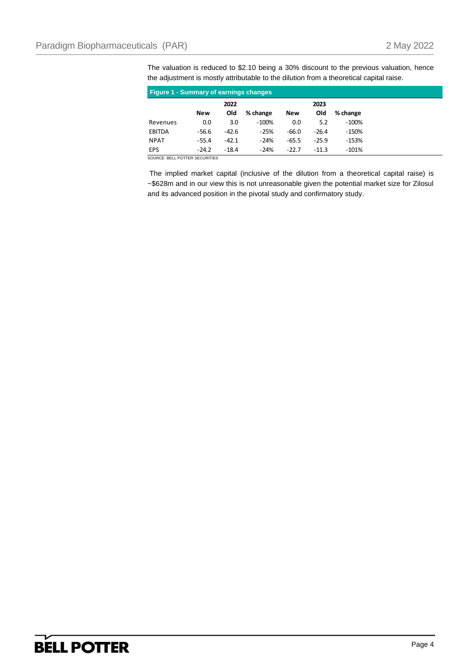The valuation is reduced to \$2.10 being a 30% discount to the previous valuation, hence the adjustment is mostly attributable to the dilution from a theoretical capital raise.

| <b>Figure 1 - Summary of earnings changes</b> |         |         |          |            |         |          |  |  |  |
|-----------------------------------------------|---------|---------|----------|------------|---------|----------|--|--|--|
|                                               |         | 2022    |          |            | 2023    |          |  |  |  |
|                                               | New     | Old     | % change | <b>New</b> | Old     | % change |  |  |  |
| Revenues                                      | 0.0     | 3.0     | $-100\%$ | 0.0        | 5.2     | $-100%$  |  |  |  |
| EBITDA                                        | $-56.6$ | $-42.6$ | $-25%$   | $-66.0$    | $-26.4$ | -150%    |  |  |  |
| <b>NPAT</b>                                   | $-55.4$ | $-42.1$ | $-24%$   | $-65.5$    | $-25.9$ | $-153%$  |  |  |  |
| <b>EPS</b>                                    | $-24.2$ | $-18.4$ | $-24%$   | $-22.7$    | $-11.3$ | $-101%$  |  |  |  |

SOURCE: BELL POTTER SECURITIES

The implied market capital (inclusive of the dilution from a theoretical capital raise) is ~\$628m and in our view this is not unreasonable given the potential market size for Zilosul and its advanced position in the pivotal study and confirmatory study.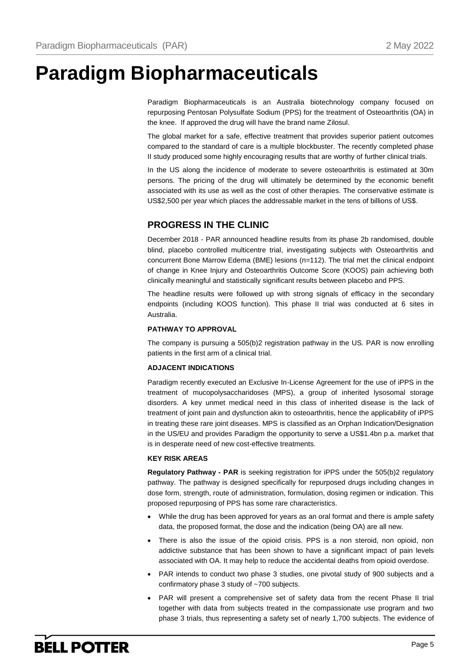# **Paradigm Biopharmaceuticals**

Paradigm Biopharmaceuticals is an Australia biotechnology company focused on repurposing Pentosan Polysulfate Sodium (PPS) for the treatment of Osteoarthritis (OA) in the knee. If approved the drug will have the brand name Zilosul.

The global market for a safe, effective treatment that provides superior patient outcomes compared to the standard of care is a multiple blockbuster. The recently completed phase II study produced some highly encouraging results that are worthy of further clinical trials.

In the US along the incidence of moderate to severe osteoarthritis is estimated at 30m persons. The pricing of the drug will ultimately be determined by the economic benefit associated with its use as well as the cost of other therapies. The conservative estimate is US\$2,500 per year which places the addressable market in the tens of billions of US\$.

## **PROGRESS IN THE CLINIC**

December 2018 - PAR announced headline results from its phase 2b randomised, double blind, placebo controlled multicentre trial, investigating subjects with Osteoarthritis and concurrent Bone Marrow Edema (BME) lesions (n=112). The trial met the clinical endpoint of change in Knee Injury and Osteoarthritis Outcome Score (KOOS) pain achieving both clinically meaningful and statistically significant results between placebo and PPS.

The headline results were followed up with strong signals of efficacy in the secondary endpoints (including KOOS function). This phase II trial was conducted at 6 sites in Australia.

#### **PATHWAY TO APPROVAL**

The company is pursuing a 505(b)2 registration pathway in the US. PAR is now enrolling patients in the first arm of a clinical trial.

#### **ADJACENT INDICATIONS**

Paradigm recently executed an Exclusive In-License Agreement for the use of iPPS in the treatment of mucopolysaccharidoses (MPS), a group of inherited lysosomal storage disorders. A key unmet medical need in this class of inherited disease is the lack of treatment of joint pain and dysfunction akin to osteoarthritis, hence the applicability of iPPS in treating these rare joint diseases. MPS is classified as an Orphan Indication/Designation in the US/EU and provides Paradigm the opportunity to serve a US\$1.4bn p.a. market that is in desperate need of new cost-effective treatments.

#### **KEY RISK AREAS**

**Regulatory Pathway - PAR** is seeking registration for iPPS under the 505(b)2 regulatory pathway. The pathway is designed specifically for repurposed drugs including changes in dose form, strength, route of administration, formulation, dosing regimen or indication. This proposed repurposing of PPS has some rare characteristics.

- While the drug has been approved for years as an oral format and there is ample safety data, the proposed format, the dose and the indication (being OA) are all new.
- There is also the issue of the opioid crisis. PPS is a non steroid, non opioid, non addictive substance that has been shown to have a significant impact of pain levels associated with OA. It may help to reduce the accidental deaths from opioid overdose.
- PAR intends to conduct two phase 3 studies, one pivotal study of 900 subjects and a confirmatory phase 3 study of ~700 subjects.
- PAR will present a comprehensive set of safety data from the recent Phase II trial together with data from subjects treated in the compassionate use program and two phase 3 trials, thus representing a safety set of nearly 1,700 subjects. The evidence of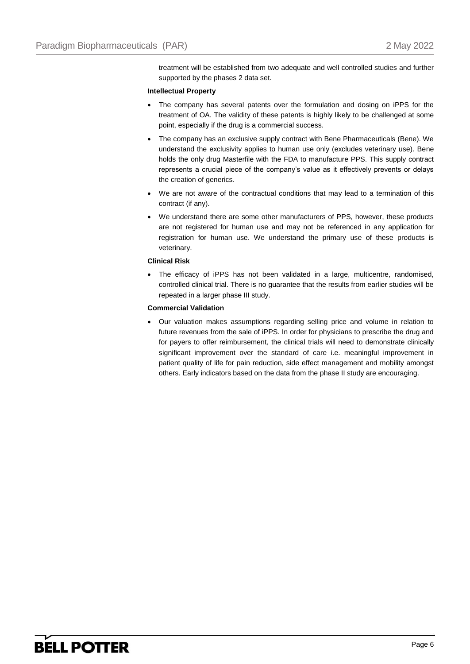treatment will be established from two adequate and well controlled studies and further supported by the phases 2 data set.

#### **Intellectual Property**

- The company has several patents over the formulation and dosing on iPPS for the treatment of OA. The validity of these patents is highly likely to be challenged at some point, especially if the drug is a commercial success.
- The company has an exclusive supply contract with Bene Pharmaceuticals (Bene). We understand the exclusivity applies to human use only (excludes veterinary use). Bene holds the only drug Masterfile with the FDA to manufacture PPS. This supply contract represents a crucial piece of the company's value as it effectively prevents or delays the creation of generics.
- We are not aware of the contractual conditions that may lead to a termination of this contract (if any).
- We understand there are some other manufacturers of PPS, however, these products are not registered for human use and may not be referenced in any application for registration for human use. We understand the primary use of these products is veterinary.

#### **Clinical Risk**

 The efficacy of iPPS has not been validated in a large, multicentre, randomised, controlled clinical trial. There is no guarantee that the results from earlier studies will be repeated in a larger phase III study.

#### **Commercial Validation**

 Our valuation makes assumptions regarding selling price and volume in relation to future revenues from the sale of iPPS. In order for physicians to prescribe the drug and for payers to offer reimbursement, the clinical trials will need to demonstrate clinically significant improvement over the standard of care i.e. meaningful improvement in patient quality of life for pain reduction, side effect management and mobility amongst others. Early indicators based on the data from the phase II study are encouraging.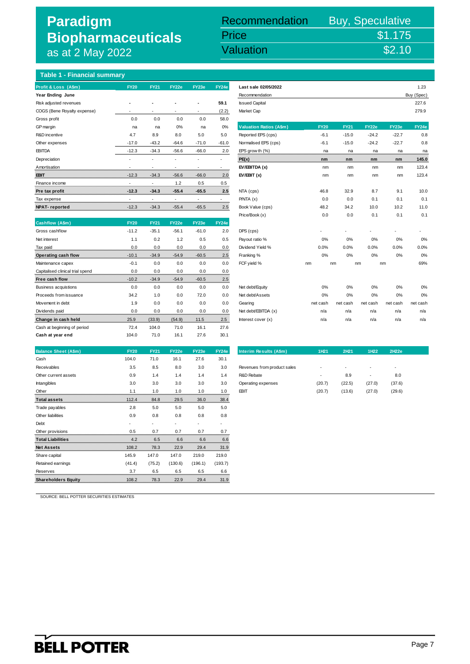## **Paradigm Biopharmaceuticals**  as at 2 May 2022

### $\frac{1}{2}$  May 2022<br> $\frac{1}{2}$  May 2022 Recommendation Buy, Speculative Price \$1.175<br>Valuation \$2.10 Valuation

### **Table 1 - Financial summary**

| Profit & Loss (A\$m)        | <b>FY20</b>              | <b>FY21</b>              | FY22e                    | FY23e                    | FY24e                    | Last sale 02/05/2022           |             |             |         |         | 1.23       |
|-----------------------------|--------------------------|--------------------------|--------------------------|--------------------------|--------------------------|--------------------------------|-------------|-------------|---------|---------|------------|
| Year Ending June            |                          |                          |                          |                          |                          | Recommendation                 |             |             |         |         | Buy (Spec) |
| Risk adjusted revenues      |                          |                          | $\overline{\phantom{a}}$ |                          | 59.1                     | <b>Issued Capital</b>          |             |             |         |         | 227.6      |
| COGS (Bene Royalty expense) |                          | ٠                        | ٠                        | $\overline{\phantom{a}}$ | (2.2)                    | Market Cap                     |             |             |         |         | 279.9      |
| Gross profit                | 0.0                      | 0.0                      | 0.0                      | 0.0                      | 58.0                     |                                |             |             |         |         |            |
| GP margin                   | na                       | na                       | 0%                       | na                       | 0%                       | <b>Valuation Ratios (A\$m)</b> | <b>FY20</b> | <b>FY21</b> | FY22e   | FY23e   | FY24e      |
| R&D incentive               | 4.7                      | 8.9                      | 8.0                      | 5.0                      | 5.0                      | Reported EPS (cps)             | $-6.1$      | $-15.0$     | $-24.2$ | $-22.7$ | 0.8        |
| Other expenses              | $-17.0$                  | $-43.2$                  | $-64.6$                  | $-71.0$                  | $-61.0$                  | Normalised EPS (cps)           | $-6.1$      | $-15.0$     | $-24.2$ | $-22.7$ | 0.8        |
| <b>EBITDA</b>               | $-12.3$                  | $-34.3$                  | $-56.6$                  | $-66.0$                  | 2.0                      | EPS grow th $(\%)$             | na          | na          | na      | na      | na         |
| Depreciation                |                          |                          |                          |                          | ٠                        | PE(x)                          | nm          | nm          | nm      | nm      | 145.0      |
| Amortisation                | $\overline{\phantom{a}}$ | $\overline{\phantom{a}}$ |                          |                          | $\overline{\phantom{a}}$ | EV/EBITDA (x)                  | nm          | nm          | nm      | nm      | 123.4      |
| <b>EBIT</b>                 | $-12.3$                  | $-34.3$                  | $-56.6$                  | $-66.0$                  | 2.0                      | EV/EBIT(x)                     | nm          | nm          | nm      | nm      | 123.4      |
| Finance income              | ٠                        | $\overline{\phantom{a}}$ | 1.2                      | 0.5                      | 0.5                      |                                |             |             |         |         |            |
| Pre tax profit              | $-12.3$                  | $-34.3$                  | $-55.4$                  | $-65.5$                  | 2.5<br>                  | NTA (cps)                      | 46.8        | 32.9        | 8.7     | 9.1     | 10.0       |
| Tax expense                 | ٠                        | ۰                        |                          | ٠                        |                          | P/NTA(x)                       | 0.0         | 0.0         | 0.1     | 0.1     | 0.1        |
| <b>NPAT-reported</b>        | $-12.3$                  | $-34.3$<br>.             | $-55.4$                  | $-65.5$                  | 2.5<br>.                 | Book Value (cps)               | 48.2        | 34.2        | 10.0    | 10.2    | 11.0       |

| Cashflow (A\$m)                  | <b>FY20</b> | <b>FY21</b> | FY22e   | <b>FY23e</b> | <b>FY24e</b> |                     |          |          |          |                          |          |
|----------------------------------|-------------|-------------|---------|--------------|--------------|---------------------|----------|----------|----------|--------------------------|----------|
| Gross cashflow                   | $-11.2$     | $-35.1$     | $-56.1$ | $-61.0$      | 2.0          | DPS (cps)           | $\sim$   |          |          | $\overline{\phantom{a}}$ |          |
| Net interest                     | 1.1         | 0.2         | 1.2     | 0.5          | 0.5          | Payout ratio %      | 0%       | 0%       | 0%       | 0%                       | 0%       |
| Tax paid                         | 0.0         | 0.0         | 0.0     | 0.0          | 0.0          | Dividend Yield %    | 0.0%     | 0.0%     | 0.0%     | 0.0%                     | 0.0%     |
| Operating cash flow              | $-10.1$     | $-34.9$     | $-54.9$ | $-60.5$      | 2.5          | Franking %          | 0%       | 0%       | 0%       | 0%                       | 0%       |
| Maintenance capex                | $-0.1$      | 0.0         | 0.0     | 0.0          | 0.0          | FCF yield %         | nm       | nm       | nm       | nm                       | 69%      |
| Capitalised clinical trial spend | 0.0         | 0.0         | 0.0     | 0.0          | 0.0          |                     |          |          |          |                          |          |
| Free cash flow                   | $-10.2$     | $-34.9$     | $-54.9$ | $-60.5$      | 2.5          |                     |          |          |          |                          |          |
| <b>Business acquistions</b>      | 0.0         | 0.0         | 0.0     | 0.0          | 0.0          | Net debt/Equity     | 0%       | 0%       | 0%       | 0%                       | 0%       |
| Proceeds from issuance           | 34.2        | 1.0         | 0.0     | 72.0         | 0.0          | Net debt/Assets     | 0%       | 0%       | 0%       | 0%                       | 0%       |
| Movement in debt                 | 1.9         | 0.0         | 0.0     | 0.0          | 0.0          | Gearing             | net cash | net cash | net cash | net cash                 | net cash |
| Dividends paid                   | 0.0         | 0.0         | 0.0     | 0.0          | 0.0          | Net debt/EBITDA (x) | n/a      | n/a      | n/a      | n/a                      | n/a      |
| Change in cash held              | 25.9        | (33.9)      | (54.9)  | 11.5         | 2.5          | Interest cover (x)  | n/a      | n/a      | n/a      | n/a                      | n/a      |
| Cash at beginning of period      | 72.4        | 104.0       | 71.0    | 16.1         | 27.6         |                     |          |          |          |                          |          |
| Cash at year end                 | 104.0       | 71.0        | 16.1    | 27.6         | 30.1         |                     |          |          |          |                          |          |

| <b>Balance Sheet (A\$m)</b> | <b>FY20</b> | <b>FY21</b>              | FY22e   | FY23e                    | FY24e   | Interim Results (A\$m)      | 1H <sub>21</sub> | 2H21   | 1H22   | 2H22e  |
|-----------------------------|-------------|--------------------------|---------|--------------------------|---------|-----------------------------|------------------|--------|--------|--------|
| Cash                        | 104.0       | 71.0                     | 16.1    | 27.6                     | 30.1    |                             |                  |        |        |        |
| Receivables                 | 3.5         | 8.5                      | 8.0     | 3.0                      | 3.0     | Revenues from product sales | ٠                |        | ٠      |        |
| Other current assets        | 0.9         | 1.4                      | 1.4     | 1.4                      | 1.4     | R&D Rebate                  | ٠                | 8.9    | ٠      | 8.0    |
| Intangibles                 | 3.0         | 3.0                      | 3.0     | 3.0                      | 3.0     | Operating expenses          | (20.7)           | (22.5) | (27.0) | (37.6) |
| Other                       | 1.1         | 1.0                      | 1.0     | 1.0                      | 1.0     | <b>EBIT</b>                 | (20.7)           | (13.6) | (27.0) | (29.6) |
| <b>Total assets</b>         | 112.4       | 84.8                     | 29.5    | 36.0                     | 38.4    |                             |                  |        |        |        |
| Trade payables              | 2.8         | 5.0                      | 5.0     | 5.0                      | 5.0     |                             |                  |        |        |        |
| Other liabilities           | 0.9         | 0.8                      | 0.8     | 0.8                      | 0.8     |                             |                  |        |        |        |
| Debt                        | ٠           | $\overline{\phantom{a}}$ | ٠       | $\overline{\phantom{a}}$ | ٠       |                             |                  |        |        |        |
| Other provisions            | 0.5         | 0.7                      | 0.7     | 0.7                      | 0.7     |                             |                  |        |        |        |
| <b>Total Liabilities</b>    | 4.2         | 6.5                      | 6.6     | 6.6                      | 6.6     |                             |                  |        |        |        |
| <b>Net Assets</b>           | 108.2       | 78.3                     | 22.9    | 29.4                     | 31.9    |                             |                  |        |        |        |
| Share capital               | 145.9       | 147.0                    | 147.0   | 219.0                    | 219.0   |                             |                  |        |        |        |
| Retained earnings           | (41.4)      | (75.2)                   | (130.6) | (196.1)                  | (193.7) |                             |                  |        |        |        |
| Reserves                    | 3.7         | 6.5                      | 6.5     | 6.5                      | 6.6     |                             |                  |        |        |        |
| <b>Shareholders Equity</b>  | 108.2       | 78.3                     | 22.9    | 29.4                     | 31.9    |                             |                  |        |        |        |

| Gross profit                     | 0.0         | 0.0         | 0.0                      | 0.0     | 58.0    |                                |             |             |          |          |          |
|----------------------------------|-------------|-------------|--------------------------|---------|---------|--------------------------------|-------------|-------------|----------|----------|----------|
| GP margin                        | na          | na          | 0%                       | na      | 0%      | <b>Valuation Ratios (A\$m)</b> | <b>FY20</b> | <b>FY21</b> | FY22e    | FY23e    | FY24e    |
| R&D incentive                    | 4.7         | 8.9         | 8.0                      | 5.0     | 5.0     | Reported EPS (cps)             | $-6.1$      | $-15.0$     | $-24.2$  | $-22.7$  | 0.8      |
| Other expenses                   | $-17.0$     | $-43.2$     | $-64.6$                  | $-71.0$ | $-61.0$ | Normalised EPS (cps)           | $-6.1$      | $-15.0$     | $-24.2$  | $-22.7$  | 0.8      |
| <b>EBITDA</b>                    | $-12.3$     | $-34.3$     | $-56.6$                  | $-66.0$ | 2.0     | EPS grow th (%)                | na          | na          | na       | na       | na       |
| Depreciation                     |             |             |                          |         |         | PE(x)                          | nm          | nm          | nm       | nm       | 145.0    |
| Amortisation                     |             |             | ٠                        |         | $\sim$  | EV/EBITDA (x)                  | nm          | nm          | nm       | nm       | 123.4    |
| <b>EBIT</b>                      | $-12.3$     | $-34.3$     | $-56.6$                  | $-66.0$ | 2.0     | EV/EBIT(x)                     | nm          | nm          | nm       | nm       | 123.4    |
| Finance income                   |             |             | 1.2                      | 0.5     | 0.5     |                                |             |             |          |          |          |
| Pre tax profit                   | $-12.3$     | $-34.3$     | $-55.4$                  | $-65.5$ | 2.5     | NTA (cps)                      | 46.8        | 32.9        | 8.7      | 9.1      | 10.0     |
| Tax expense                      |             |             | $\overline{\phantom{a}}$ |         |         | P/NTA(x)                       | 0.0         | 0.0         | 0.1      | 0.1      | 0.1      |
| <b>NPAT-reported</b>             | $-12.3$     | $-34.3$     | $-55.4$                  | $-65.5$ | 2.5     | Book Value (cps)               | 48.2        | 34.2        | 10.0     | 10.2     | 11.0     |
|                                  |             |             |                          |         |         | Price/Book (x)                 | 0.0         | 0.0         | 0.1      | 0.1      | 0.1      |
| Cashflow (A\$m)                  | <b>FY20</b> | <b>FY21</b> | FY22e                    | FY23e   | FY24e   |                                |             |             |          |          |          |
| Gross cashflow                   | $-11.2$     | $-35.1$     | $-56.1$                  | $-61.0$ | 2.0     | DPS (cps)                      |             |             |          |          |          |
| Net interest                     | 1.1         | 0.2         | 1.2                      | 0.5     | 0.5     | Payout ratio %                 | 0%          | 0%          | 0%       | 0%       | 0%       |
| Tax paid                         | 0.0         | 0.0         | 0.0                      | 0.0     | 0.0     | Dividend Yield %               | 0.0%        | 0.0%        | 0.0%     | 0.0%     | 0.0%     |
| Operating cash flow              | $-10.1$     | $-34.9$     | $-54.9$                  | $-60.5$ | 2.5     | Franking %                     | 0%          | 0%          | 0%       | 0%       | 0%       |
| Maintenance capex                | $-0.1$      | 0.0         | 0.0                      | 0.0     | 0.0     | FCF yield %                    | nm          | nm          | nm       | nm       | 69%      |
| Capitalised clinical trial spend | 0.0         | 0.0         | 0.0                      | 0.0     | 0.0     |                                |             |             |          |          |          |
| Free cash flow                   | $-10.2$     | $-34.9$     | $-54.9$                  | $-60.5$ | 2.5     |                                |             |             |          |          |          |
| <b>Business acquistions</b>      | 0.0         | 0.0         | 0.0                      | 0.0     | 0.0     | Net debt/Equity                | 0%          | 0%          | 0%       | 0%       | 0%       |
| Proceeds from issuance           | 34.2        | 1.0         | 0.0                      | 72.0    | 0.0     | Net debt/Assets                | 0%          | 0%          | 0%       | 0%       | 0%       |
| Movement in debt                 | 1.9         | 0.0         | 0.0                      | 0.0     | 0.0     | Gearing                        | net cash    | net cash    | net cash | net cash | net cash |
| Dividends paid                   | 0.0         | 0.0         | 0.0                      | 0.0     | 0.0     | Net debt/EBITDA (x)            | n/a         | n/a         | n/a      | n/a      | n/a      |
| Change in cash held              | 25.9        | (33.9)      | (54.9)                   | 11.5    | 2.5     | Interest cover (x)             | n/a         | n/a         | n/a      | n/a      | n/a      |

| Interim Results (A\$m)      | 1H <sub>21</sub> | 2H <sub>21</sub> | 1H <sub>22</sub> | 2H <sub>22e</sub> |
|-----------------------------|------------------|------------------|------------------|-------------------|
|                             |                  |                  |                  |                   |
| Revenues from product sales | ٠                | ۰                | ٠                | ٠                 |
| R&D Rebate                  | ٠                | 8.9              | ٠                | 8.0               |
| Operating expenses          | (20.7)           | (22.5)           | (27.0)           | (37.6)            |
| EΒΠ                         | (20.7)           | (13.6)           | (27.0)           | (29.6)            |

SOURCE: BELL POTTER SECURITIES ESTIMATES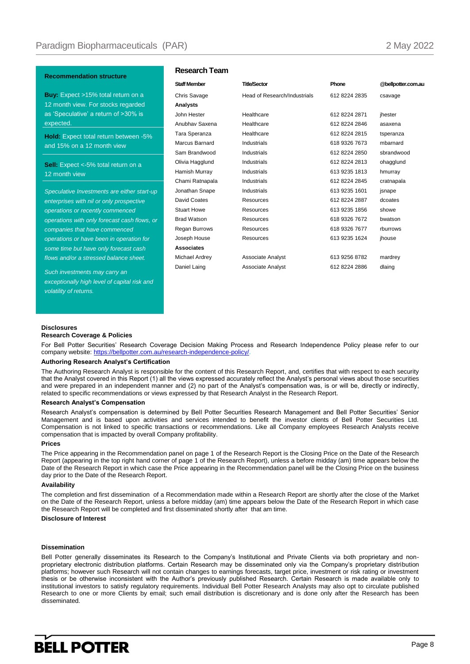#### **Recommendation structure**

**Buy:** Expect >15% total return on a 12 month view. For stocks regarded as 'Speculative' a return of >30% is expected.

**Hold:** Expect total return between -5% and 15% on a 12 month view

Sell: Expect <- 5% total return on a 12 month view

*Speculative Investments are either start-up enterprises with nil or only prospective operations or recently commenced operations with only forecast cash flows, or companies that have commenced operations or have been in operation for some time but have only forecast cash flows and/or a stressed balance sheet.*

*Such investments may carry an exceptionally high level of capital risk and volatility of returns.* 

#### **Research Team**

| <b>Staff Member</b> | <b>Title/Sector</b>          | Phone         | @bellpotter.com.au |
|---------------------|------------------------------|---------------|--------------------|
| Chris Savage        | Head of Research/Industrials | 612 8224 2835 | csavage            |
| Analysts            |                              |               |                    |
| John Hester         | Healthcare                   | 612 8224 2871 | jhester            |
| Anubhav Saxena      | Healthcare                   | 612 8224 2846 | asaxena            |
| Tara Speranza       | Healthcare                   | 612 8224 2815 | tsperanza          |
| Marcus Barnard      | Industrials                  | 618 9326 7673 | mbarnard           |
| Sam Brandwood       | Industrials                  | 612 8224 2850 | sbrandwood         |
| Olivia Hagglund     | Industrials                  | 612 8224 2813 | ohagglund          |
| Hamish Murray       | <b>Industrials</b>           | 613 9235 1813 | hmurray            |
| Chami Ratnapala     | Industrials                  | 612 8224 2845 | cratnapala         |
| Jonathan Snape      | Industrials                  | 613 9235 1601 | jsnape             |
| David Coates        | Resources                    | 612 8224 2887 | dcoates            |
| <b>Stuart Howe</b>  | Resources                    | 613 9235 1856 | showe              |
| <b>Brad Watson</b>  | <b>Resources</b>             | 618 9326 7672 | bwatson            |
| Regan Burrows       | Resources                    | 618 9326 7677 | rburrows           |
| Joseph House        | Resources                    | 613 9235 1624 | jhouse             |
| <b>Associates</b>   |                              |               |                    |
| Michael Ardrey      | Associate Analyst            | 613 9256 8782 | mardrey            |
| Daniel Laing        | Associate Analyst            | 612 8224 2886 | dlaing             |
|                     |                              |               |                    |

#### **Disclosures**

#### **Research Coverage & Policies**

For Bell Potter Securities' Research Coverage Decision Making Process and Research Independence Policy please refer to our company website[: https://bellpotter.com.au/research-independence-policy/.](https://bellpotter.com.au/research-independence-policy/)

#### **Authoring Research Analyst's Certification**

The Authoring Research Analyst is responsible for the content of this Research Report, and, certifies that with respect to each security that the Analyst covered in this Report (1) all the views expressed accurately reflect the Analyst's personal views about those securities and were prepared in an independent manner and (2) no part of the Analyst's compensation was, is or will be, directly or indirectly, related to specific recommendations or views expressed by that Research Analyst in the Research Report.

#### **Research Analyst's Compensation**

Research Analyst's compensation is determined by Bell Potter Securities Research Management and Bell Potter Securities' Senior Management and is based upon activities and services intended to benefit the investor clients of Bell Potter Securities Ltd. Compensation is not linked to specific transactions or recommendations. Like all Company employees Research Analysts receive compensation that is impacted by overall Company profitability.

#### **Prices**

The Price appearing in the Recommendation panel on page 1 of the Research Report is the Closing Price on the Date of the Research Report (appearing in the top right hand corner of page 1 of the Research Report), unless a before midday (am) time appears below the Date of the Research Report in which case the Price appearing in the Recommendation panel will be the Closing Price on the business day prior to the Date of the Research Report.

#### **Availability**

The completion and first dissemination of a Recommendation made within a Research Report are shortly after the close of the Market on the Date of the Research Report, unless a before midday (am) time appears below the Date of the Research Report in which case the Research Report will be completed and first disseminated shortly after that am time.

#### **Disclosure of Interest**

#### **Dissemination**

Bell Potter generally disseminates its Research to the Company's Institutional and Private Clients via both proprietary and nonproprietary electronic distribution platforms. Certain Research may be disseminated only via the Company's proprietary distribution platforms; however such Research will not contain changes to earnings forecasts, target price, investment or risk rating or investment thesis or be otherwise inconsistent with the Author's previously published Research. Certain Research is made available only to institutional investors to satisfy regulatory requirements. Individual Bell Potter Research Analysts may also opt to circulate published Research to one or more Clients by email; such email distribution is discretionary and is done only after the Research has been disseminated.